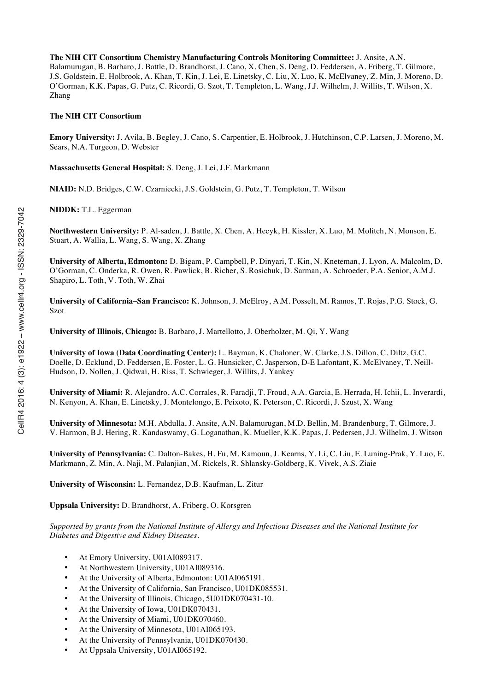**The NIH CIT Consortium Chemistry Manufacturing Controls Monitoring Committee:** J. Ansite, A.N. Balamurugan, B. Barbaro, J. Battle, D. Brandhorst, J. Cano, X. Chen, S. Deng, D. Feddersen, A. Friberg, T. Gilmore, J.S. Goldstein, E. Holbrook, A. Khan, T. Kin, J. Lei, E. Linetsky, C. Liu, X. Luo, K. McElvaney, Z. Min, J. Moreno, D. O'Gorman, K.K. Papas, G. Putz, C. Ricordi, G. Szot, T. Templeton, L. Wang, J.J. Wilhelm, J. Willits, T. Wilson, X. Zhang

## **The NIH CIT Consortium**

**Emory University:** J. Avila, B. Begley, J. Cano, S. Carpentier, E. Holbrook, J. Hutchinson, C.P. Larsen, J. Moreno, M. Sears, N.A. Turgeon, D. Webster

**Massachusetts General Hospital:** S. Deng, J. Lei, J.F. Markmann

**NIAID:** N.D. Bridges, C.W. Czarniecki, J.S. Goldstein, G. Putz, T. Templeton, T. Wilson

**NIDDK:** T.L. Eggerman

**Northwestern University:** P. Al-saden, J. Battle, X. Chen, A. Hecyk, H. Kissler, X. Luo, M. Molitch, N. Monson, E. Stuart, A. Wallia, L. Wang, S. Wang, X. Zhang

**University of Alberta, Edmonton:** D. Bigam, P. Campbell, P. Dinyari, T. Kin, N. Kneteman, J. Lyon, A. Malcolm, D. O'Gorman, C. Onderka, R. Owen, R. Pawlick, B. Richer, S. Rosichuk, D. Sarman, A. Schroeder, P.A. Senior, A.M.J. Shapiro, L. Toth, V. Toth, W. Zhai

**University of California–San Francisco:** K. Johnson, J. McElroy, A.M. Posselt, M. Ramos, T. Rojas, P.G. Stock, G. Szot

**University of Illinois, Chicago:** B. Barbaro, J. Martellotto, J. Oberholzer, M. Qi, Y. Wang

**University of Iowa (Data Coordinating Center):** L. Bayman, K. Chaloner, W. Clarke, J.S. Dillon, C. Diltz, G.C. Doelle, D. Ecklund, D. Feddersen, E. Foster, L. G. Hunsicker, C. Jasperson, D-E Lafontant, K. McElvaney, T. Neill-Hudson, D. Nollen, J. Qidwai, H. Riss, T. Schwieger, J. Willits, J. Yankey

**University of Miami:** R. Alejandro, A.C. Corrales, R. Faradji, T. Froud, A.A. Garcia, E. Herrada, H. Ichii, L. Inverardi, N. Kenyon, A. Khan, E. Linetsky, J. Montelongo, E. Peixoto, K. Peterson, C. Ricordi, J. Szust, X. Wang

**University of Minnesota:** M.H. Abdulla, J. Ansite, A.N. Balamurugan, M.D. Bellin, M. Brandenburg, T. Gilmore, J. V. Harmon, B.J. Hering, R. Kandaswamy, G. Loganathan, K. Mueller, K.K. Papas, J. Pedersen, J.J. Wilhelm, J. Witson

**University of Pennsylvania:** C. Dalton-Bakes, H. Fu, M. Kamoun, J. Kearns, Y. Li, C. Liu, E. Luning-Prak, Y. Luo, E. Markmann, Z. Min, A. Naji, M. Palanjian, M. Rickels, R. Shlansky-Goldberg, K. Vivek, A.S. Ziaie

**University of Wisconsin:** L. Fernandez, D.B. Kaufman, L. Zitur

**Uppsala University:** D. Brandhorst, A. Friberg, O. Korsgren

*Supported by grants from the National Institute of Allergy and Infectious Diseases and the National Institute for Diabetes and Digestive and Kidney Diseases.*

- At Emory University, U01AI089317.
- At Northwestern University, U01AI089316.
- At the University of Alberta, Edmonton: U01AI065191.
- At the University of California, San Francisco, U01DK085531.
- At the University of Illinois, Chicago, 5U01DK070431-10.
- At the University of Iowa, U01DK070431.
- At the University of Miami, U01DK070460.
- At the University of Minnesota, U01AI065193.
- At the University of Pennsylvania, U01DK070430.
- At Uppsala University, U01AI065192.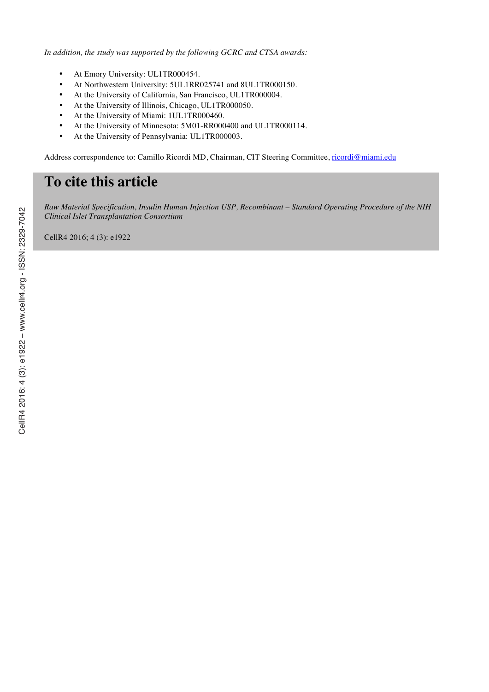*In addition, the study was supported by the following GCRC and CTSA awards:*

- At Emory University: UL1TR000454.
- At Northwestern University: 5UL1RR025741 and 8UL1TR000150.
- At the University of California, San Francisco, UL1TR000004.
- At the University of Illinois, Chicago, UL1TR000050.
- At the University of Miami: 1UL1TR000460.
- At the University of Minnesota: 5M01-RR000400 and UL1TR000114.
- At the University of Pennsylvania: UL1TR000003.

Address correspondence to: Camillo Ricordi MD, Chairman, CIT Steering Committee, ricordi@miami.edu

# **To cite this article**

*Raw Material Specification, Insulin Human Injection USP, Recombinant – Standard Operating Procedure of the NIH Clinical Islet Transplantation Consortium*

CellR4 2016; 4 (3): e1922